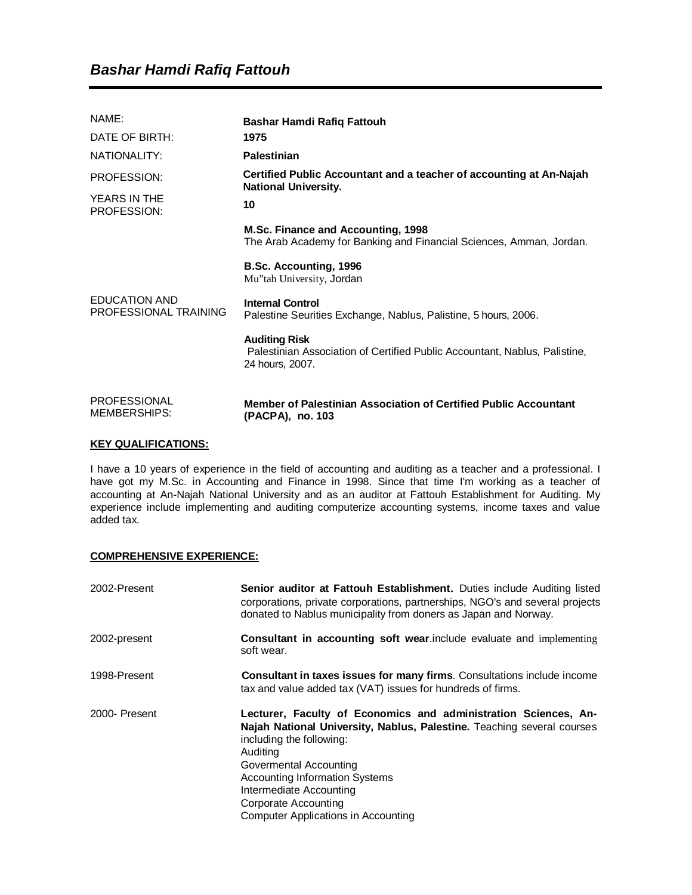| NAME:<br>DATE OF BIRTH:                | Bashar Hamdi Rafiq Fattouh<br>1975                                                                                    |
|----------------------------------------|-----------------------------------------------------------------------------------------------------------------------|
| NATIONALITY:                           | <b>Palestinian</b>                                                                                                    |
| PROFESSION:                            | Certified Public Accountant and a teacher of accounting at An-Najah<br><b>National University.</b>                    |
| YEARS IN THE<br>PROFESSION:            | 10                                                                                                                    |
| EDUCATION AND<br>PROFESSIONAL TRAINING | M.Sc. Finance and Accounting, 1998<br>The Arab Academy for Banking and Financial Sciences, Amman, Jordan.             |
|                                        | B.Sc. Accounting, 1996<br>Mu"tah University, Jordan                                                                   |
|                                        | <b>Internal Control</b><br>Palestine Seurities Exchange, Nablus, Palistine, 5 hours, 2006.                            |
|                                        | <b>Auditing Risk</b><br>Palestinian Association of Certified Public Accountant, Nablus, Palistine,<br>24 hours, 2007. |
| <b>PROFESSIONAL</b><br>MEMBERSHIPS:    | Member of Palestinian Association of Certified Public Accountant<br>(PACPA), no. 103                                  |

## **KEY QUALIFICATIONS:**

I have a 10 years of experience in the field of accounting and auditing as a teacher and a professional. I have got my M.Sc. in Accounting and Finance in 1998. Since that time I'm working as a teacher of accounting at An-Najah National University and as an auditor at Fattouh Establishment for Auditing. My experience include implementing and auditing computerize accounting systems, income taxes and value added tax.

## **COMPREHENSIVE EXPERIENCE:**

| 2002-Present  | <b>Senior auditor at Fattouh Establishment.</b> Duties include Auditing listed<br>corporations, private corporations, partnerships, NGO's and several projects<br>donated to Nablus municipality from doners as Japan and Norway.                                                                                                              |
|---------------|------------------------------------------------------------------------------------------------------------------------------------------------------------------------------------------------------------------------------------------------------------------------------------------------------------------------------------------------|
| 2002-present  | <b>Consultant in accounting soft wear.include evaluate and implementing</b><br>soft wear.                                                                                                                                                                                                                                                      |
| 1998-Present  | <b>Consultant in taxes issues for many firms.</b> Consultations include income<br>tax and value added tax (VAT) issues for hundreds of firms.                                                                                                                                                                                                  |
| 2000- Present | Lecturer, Faculty of Economics and administration Sciences, An-<br>Najah National University, Nablus, Palestine. Teaching several courses<br>including the following:<br>Auditing<br>Govermental Accounting<br><b>Accounting Information Systems</b><br>Intermediate Accounting<br>Corporate Accounting<br>Computer Applications in Accounting |